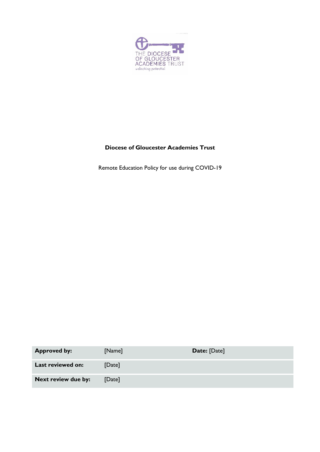

# **Diocese of Gloucester Academies Trust**

Remote Education Policy for use during COVID-19

| <b>Approved by:</b> | [Name] | Date: [Date] |
|---------------------|--------|--------------|
| Last reviewed on:   | [Date] |              |
| Next review due by: | [Date] |              |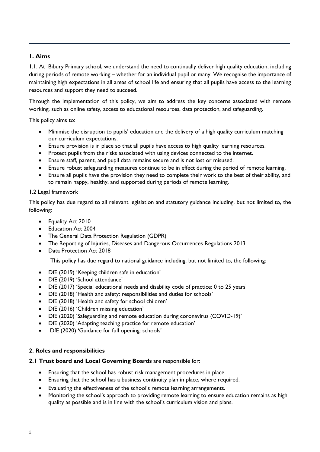## **1. Aims**

1.1. At Bibury Primary school, we understand the need to continually deliver high quality education, including during periods of remote working – whether for an individual pupil or many. We recognise the importance of maintaining high expectations in all areas of school life and ensuring that all pupils have access to the learning resources and support they need to succeed.

Through the implementation of this policy, we aim to address the key concerns associated with remote working, such as online safety, access to educational resources, data protection, and safeguarding.

This policy aims to:

- Minimise the disruption to pupils' education and the delivery of a high quality curriculum matching our curriculum expectations.
- Ensure provision is in place so that all pupils have access to high quality learning resources.
- Protect pupils from the risks associated with using devices connected to the internet.
- Ensure staff, parent, and pupil data remains secure and is not lost or misused.
- Ensure robust safeguarding measures continue to be in effect during the period of remote learning.
- Ensure all pupils have the provision they need to complete their work to the best of their ability, and to remain happy, healthy, and supported during periods of remote learning.

### 1.2 Legal framework

This policy has due regard to all relevant legislation and statutory guidance including, but not limited to, the following:

- Equality Act 2010
- Education Act 2004
- The General Data Protection Regulation (GDPR)
- The Reporting of Injuries, Diseases and Dangerous Occurrences Regulations 2013
- Data Protection Act 2018

This policy has due regard to national guidance including, but not limited to, the following:

- DfE (2019) 'Keeping children safe in education'
- DfE (2019) 'School attendance'
- DfE (2017) 'Special educational needs and disability code of practice: 0 to 25 years'
- DfE (2018) 'Health and safety: responsibilities and duties for schools'
- DfE (2018) 'Health and safety for school children'
- DfE (2016) 'Children missing education'
- DfE (2020) 'Safeguarding and remote education during coronavirus (COVID-19)'
- DfE (2020) 'Adapting teaching practice for remote education'
- DfE (2020) 'Guidance for full opening: schools'

## **2. Roles and responsibilities**

### **2.1 Trust board and Local Governing Boards** are responsible for:

- Ensuring that the school has robust risk management procedures in place.
- Ensuring that the school has a business continuity plan in place, where required.
- Evaluating the effectiveness of the school's remote learning arrangements.
- Monitoring the school's approach to providing remote learning to ensure education remains as high quality as possible and is in line with the school's curriculum vision and plans.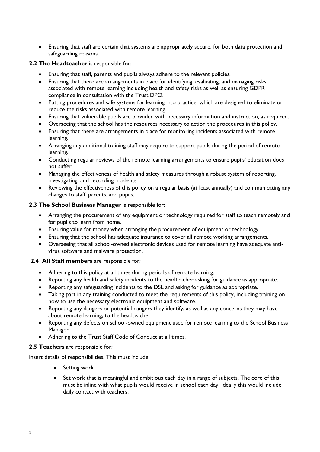Ensuring that staff are certain that systems are appropriately secure, for both data protection and safeguarding reasons.

### **2.2 The Headteacher** is responsible for:

- Ensuring that staff, parents and pupils always adhere to the relevant policies.
- Ensuring that there are arrangements in place for identifying, evaluating, and managing risks associated with remote learning including health and safety risks as well as ensuring GDPR compliance in consultation with the Trust DPO.
- Putting procedures and safe systems for learning into practice, which are designed to eliminate or reduce the risks associated with remote learning.
- Ensuring that vulnerable pupils are provided with necessary information and instruction, as required.
- Overseeing that the school has the resources necessary to action the procedures in this policy.
- Ensuring that there are arrangements in place for monitoring incidents associated with remote learning.
- Arranging any additional training staff may require to support pupils during the period of remote learning.
- Conducting regular reviews of the remote learning arrangements to ensure pupils' education does not suffer.
- Managing the effectiveness of health and safety measures through a robust system of reporting, investigating, and recording incidents.
- Reviewing the effectiveness of this policy on a regular basis (at least annually) and communicating any changes to staff, parents, and pupils.

### **2.3 The School Business Manager** is responsible for:

- Arranging the procurement of any equipment or technology required for staff to teach remotely and for pupils to learn from home.
- Ensuring value for money when arranging the procurement of equipment or technology.
- Ensuring that the school has adequate insurance to cover all remote working arrangements.
- Overseeing that all school-owned electronic devices used for remote learning have adequate antivirus software and malware protection.

## **2.4 All Staff members** are responsible for:

- Adhering to this policy at all times during periods of remote learning.
- Reporting any health and safety incidents to the headteacher asking for guidance as appropriate.
- Reporting any safeguarding incidents to the DSL and asking for guidance as appropriate.
- Taking part in any training conducted to meet the requirements of this policy, including training on how to use the necessary electronic equipment and software.
- Reporting any dangers or potential dangers they identify, as well as any concerns they may have about remote learning, to the headteacher
- Reporting any defects on school-owned equipment used for remote learning to the School Business Manager.
- Adhering to the Trust Staff Code of Conduct at all times.

### **2.5 Teachers** are responsible for:

Insert details of responsibilities. This must include:

- $\bullet$  Setting work –
- Set work that is meaningful and ambitious each day in a range of subjects. The core of this must be inline with what pupils would receive in school each day. Ideally this would include daily contact with teachers.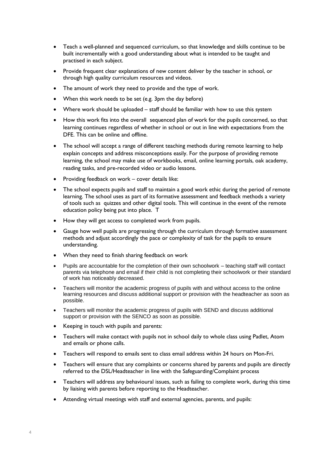- Teach a well-planned and sequenced curriculum, so that knowledge and skills continue to be built incrementally with a good understanding about what is intended to be taught and practised in each subject.
- Provide frequent clear explanations of new content deliver by the teacher in school, or through high quality curriculum resources and videos.
- The amount of work they need to provide and the type of work.
- When this work needs to be set (e.g. 3pm the day before)
- Where work should be uploaded staff should be familiar with how to use this system
- How this work fits into the overall sequenced plan of work for the pupils concerned, so that learning continues regardless of whether in school or out in line with expectations from the DFE. This can be online and offline.
- The school will accept a range of different teaching methods during remote learning to help explain concepts and address misconceptions easily. For the purpose of providing remote learning, the school may make use of workbooks, email, online learning portals, oak academy, reading tasks, and pre-recorded video or audio lessons.
- Providing feedback on work cover details like:
- The school expects pupils and staff to maintain a good work ethic during the period of remote learning. The school uses as part of its formative assessment and feedback methods a variety of tools such as quizzes and other digital tools. This will continue in the event of the remote education policy being put into place. T
- How they will get access to completed work from pupils.
- Gauge how well pupils are progressing through the curriculum through formative assessment methods and adjust accordingly the pace or complexity of task for the pupils to ensure understanding.
- When they need to finish sharing feedback on work
- Pupils are accountable for the completion of their own schoolwork teaching staff will contact parents via telephone and email if their child is not completing their schoolwork or their standard of work has noticeably decreased.
- Teachers will monitor the academic progress of pupils with and without access to the online learning resources and discuss additional support or provision with the headteacher as soon as possible.
- Teachers will monitor the academic progress of pupils with SEND and discuss additional support or provision with the SENCO as soon as possible.
- Keeping in touch with pupils and parents:
- Teachers will make contact with pupils not in school daily to whole class using Padlet, Atom and emails or phone calls.
- Teachers will respond to emails sent to class email address within 24 hours on Mon-Fri.
- Teachers will ensure that any complaints or concerns shared by parents and pupils are directly referred to the DSL/Headteacher in line with the Safeguarding/Complaint process
- Teachers will address any behavioural issues, such as failing to complete work, during this time by liaising with parents before reporting to the Headteacher.
- Attending virtual meetings with staff and external agencies, parents, and pupils: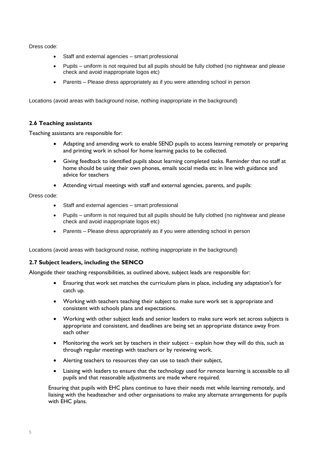Dress code:

- Staff and external agencies smart professional
- Pupils uniform is not required but all pupils should be fully clothed (no nightwear and please check and avoid inappropriate logos etc)
- Parents Please dress appropriately as if you were attending school in person

Locations (avoid areas with background noise, nothing inappropriate in the background)

### **2.6 Teaching assistants**

Teaching assistants are responsible for:

- Adapting and amending work to enable SEND pupils to access learning remotely or preparing and printing work in school for home learning packs to be collected.
- Giving feedback to identified pupils about learning completed tasks. Reminder that no staff at home should be using their own phones, emails social media etc in line with guidance and advice for teachers
- Attending virtual meetings with staff and external agencies, parents, and pupils:

Dress code:

- Staff and external agencies smart professional
- Pupils uniform is not required but all pupils should be fully clothed (no nightwear and please check and avoid inappropriate logos etc)
- Parents Please dress appropriately as if you were attending school in person

Locations (avoid areas with background noise, nothing inappropriate in the background)

### **2.7 Subject leaders, including the SENCO**

Alongside their teaching responsibilities, as outlined above, subject leads are responsible for:

- Ensuring that work set matches the curriculum plans in place, including any adaptation's for catch up.
- Working with teachers teaching their subject to make sure work set is appropriate and consistent with schools plans and expectations.
- Working with other subject leads and senior leaders to make sure work set across subjects is appropriate and consistent, and deadlines are being set an appropriate distance away from each other
- Monitoring the work set by teachers in their subject explain how they will do this, such as through regular meetings with teachers or by reviewing work.
- Alerting teachers to resources they can use to teach their subject,
- Liaising with leaders to ensure that the technology used for remote learning is accessible to all pupils and that reasonable adjustments are made where required.

Ensuring that pupils with EHC plans continue to have their needs met while learning remotely, and liaising with the headteacher and other organisations to make any alternate arrangements for pupils with EHC plans.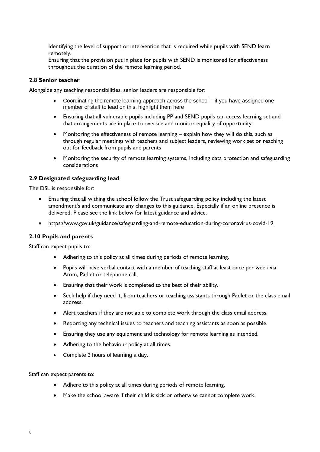Identifying the level of support or intervention that is required while pupils with SEND learn remotely.

Ensuring that the provision put in place for pupils with SEND is monitored for effectiveness throughout the duration of the remote learning period.

#### **2.8 Senior teacher**

Alongside any teaching responsibilities, senior leaders are responsible for:

- Coordinating the remote learning approach across the school if you have assigned one member of staff to lead on this, highlight them here
- Ensuring that all vulnerable pupils including PP and SEND pupils can access learning set and that arrangements are in place to oversee and monitor equality of opportunity.
- Monitoring the effectiveness of remote learning explain how they will do this, such as through regular meetings with teachers and subject leaders, reviewing work set or reaching out for feedback from pupils and parents
- Monitoring the security of remote learning systems, including data protection and safeguarding considerations

#### **2.9 Designated safeguarding lead**

The DSL is responsible for:

- Ensuring that all withing the school follow the Trust safeguarding policy including the latest amendment's and communicate any changes to this guidance. Especially if an online presence is delivered. Please see the link below for latest guidance and advice.
- <https://www.gov.uk/guidance/safeguarding-and-remote-education-during-coronavirus-covid-19>

### **2.10 Pupils and parents**

Staff can expect pupils to:

- Adhering to this policy at all times during periods of remote learning.
- Pupils will have verbal contact with a member of teaching staff at least once per week via Atom, Padlet or telephone call,
- Ensuring that their work is completed to the best of their ability.
- Seek help if they need it, from teachers or teaching assistants through Padlet or the class email address.
- Alert teachers if they are not able to complete work through the class email address.
- Reporting any technical issues to teachers and teaching assistants as soon as possible.
- Ensuring they use any equipment and technology for remote learning as intended.
- Adhering to the behaviour policy at all times.
- Complete 3 hours of learning a day.

Staff can expect parents to:

- Adhere to this policy at all times during periods of remote learning.
- Make the school aware if their child is sick or otherwise cannot complete work.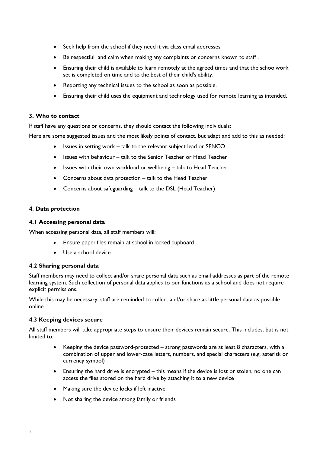- Seek help from the school if they need it via class email addresses
- Be respectful and calm when making any complaints or concerns known to staff .
- Ensuring their child is available to learn remotely at the agreed times and that the schoolwork set is completed on time and to the best of their child's ability.
- Reporting any technical issues to the school as soon as possible.
- Ensuring their child uses the equipment and technology used for remote learning as intended.

### **3. Who to contact**

If staff have any questions or concerns, they should contact the following individuals:

Here are some suggested issues and the most likely points of contact, but adapt and add to this as needed:

- Issues in setting work talk to the relevant subject lead or SENCO
- Issues with behaviour talk to the Senior Teacher or Head Teacher
- Issues with their own workload or wellbeing talk to Head Teacher
- Concerns about data protection talk to the Head Teacher
- Concerns about safeguarding talk to the DSL (Head Teacher)

### **4. Data protection**

### **4.1 Accessing personal data**

When accessing personal data, all staff members will:

- Ensure paper files remain at school in locked cupboard
- Use a school device

## **4.2 Sharing personal data**

Staff members may need to collect and/or share personal data such as email addresses as part of the remote learning system. Such collection of personal data applies to our functions as a school and does not require explicit permissions.

While this may be necessary, staff are reminded to collect and/or share as little personal data as possible online.

### **4.3 Keeping devices secure**

All staff members will take appropriate steps to ensure their devices remain secure. This includes, but is not limited to:

- Keeping the device password-protected strong passwords are at least 8 characters, with a combination of upper and lower-case letters, numbers, and special characters (e.g. asterisk or currency symbol)
- Ensuring the hard drive is encrypted this means if the device is lost or stolen, no one can access the files stored on the hard drive by attaching it to a new device
- Making sure the device locks if left inactive
- Not sharing the device among family or friends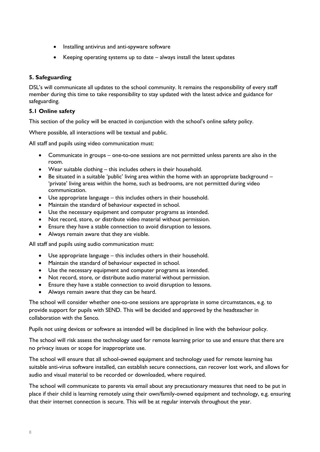- Installing antivirus and anti-spyware software
- Keeping operating systems up to date always install the latest updates

## **5. Safeguarding**

DSL's will communicate all updates to the school community. It remains the responsibility of every staff member during this time to take responsibility to stay updated with the latest advice and guidance for safeguarding.

## **5.1 Online safety**

This section of the policy will be enacted in conjunction with the school's online safety policy.

Where possible, all interactions will be textual and public.

All staff and pupils using video communication must:

- Communicate in groups one-to-one sessions are not permitted unless parents are also in the room.
- Wear suitable clothing this includes others in their household.
- Be situated in a suitable 'public' living area within the home with an appropriate background 'private' living areas within the home, such as bedrooms, are not permitted during video communication.
- Use appropriate language this includes others in their household.
- Maintain the standard of behaviour expected in school.
- Use the necessary equipment and computer programs as intended.
- Not record, store, or distribute video material without permission.
- Ensure they have a stable connection to avoid disruption to lessons.
- Always remain aware that they are visible.

All staff and pupils using audio communication must:

- Use appropriate language this includes others in their household.
- Maintain the standard of behaviour expected in school.
- Use the necessary equipment and computer programs as intended.
- Not record, store, or distribute audio material without permission.
- Ensure they have a stable connection to avoid disruption to lessons.
- Always remain aware that they can be heard.

The school will consider whether one-to-one sessions are appropriate in some circumstances, e.g. to provide support for pupils with SEND. This will be decided and approved by the headteacher in collaboration with the Senco.

Pupils not using devices or software as intended will be disciplined in line with the behaviour policy.

The school will risk assess the technology used for remote learning prior to use and ensure that there are no privacy issues or scope for inappropriate use.

The school will ensure that all school-owned equipment and technology used for remote learning has suitable anti-virus software installed, can establish secure connections, can recover lost work, and allows for audio and visual material to be recorded or downloaded, where required.

The school will communicate to parents via email about any precautionary measures that need to be put in place if their child is learning remotely using their own/family-owned equipment and technology, e.g. ensuring that their internet connection is secure. This will be at regular intervals throughout the year.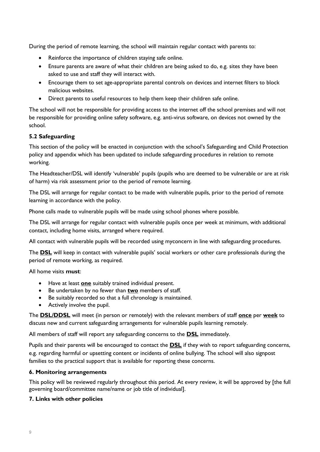During the period of remote learning, the school will maintain regular contact with parents to:

- Reinforce the importance of children staying safe online.
- Ensure parents are aware of what their children are being asked to do, e.g. sites they have been asked to use and staff they will interact with.
- Encourage them to set age-appropriate parental controls on devices and internet filters to block malicious websites.
- Direct parents to useful resources to help them keep their children safe online.

The school will not be responsible for providing access to the internet off the school premises and will not be responsible for providing online safety software, e.g. anti-virus software, on devices not owned by the school.

## **5.2 Safeguarding**

This section of the policy will be enacted in conjunction with the school's Safeguarding and Child Protection policy and appendix which has been updated to include safeguarding procedures in relation to remote working.

The Headteacher/DSL will identify 'vulnerable' pupils (pupils who are deemed to be vulnerable or are at risk of harm) via risk assessment prior to the period of remote learning.

The DSL will arrange for regular contact to be made with vulnerable pupils, prior to the period of remote learning in accordance with the policy.

Phone calls made to vulnerable pupils will be made using school phones where possible.

The DSL will arrange for regular contact with vulnerable pupils once per week at minimum, with additional contact, including home visits, arranged where required.

All contact with vulnerable pupils will be recorded using myconcern in line with safeguarding procedures.

The **DSL** will keep in contact with vulnerable pupils' social workers or other care professionals during the period of remote working, as required.

All home visits **must**:

- Have at least **one** suitably trained individual present.
- Be undertaken by no fewer than **two** members of staff.
- Be suitably recorded so that a full chronology is maintained.
- Actively involve the pupil.

The **DSL/DDSL** will meet (in person or remotely) with the relevant members of staff **once** per **week** to discuss new and current safeguarding arrangements for vulnerable pupils learning remotely.

All members of staff will report any safeguarding concerns to the **DSL** immediately.

Pupils and their parents will be encouraged to contact the **DSL** if they wish to report safeguarding concerns, e.g. regarding harmful or upsetting content or incidents of online bullying. The school will also signpost families to the practical support that is available for reporting these concerns.

### **6. Monitoring arrangements**

This policy will be reviewed regularly throughout this period. At every review, it will be approved by [the full governing board/committee name/name or job title of individual].

### **7. Links with other policies**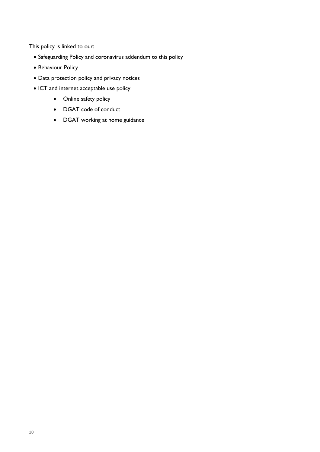This policy is linked to our:

- Safeguarding Policy and coronavirus addendum to this policy
- Behaviour Policy
- Data protection policy and privacy notices
- ICT and internet acceptable use policy
	- Online safety policy
	- DGAT code of conduct
	- DGAT working at home guidance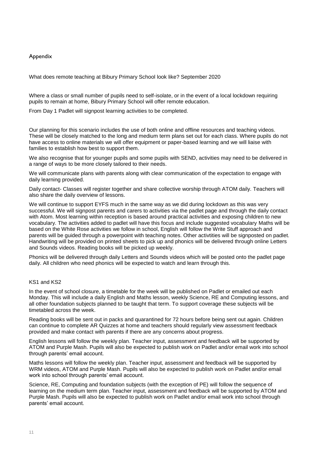### Appendix

What does remote teaching at Bibury Primary School look like? September 2020

Where a class or small number of pupils need to self-isolate, or in the event of a local lockdown requiring pupils to remain at home, Bibury Primary School will offer remote education.

From Day 1 Padlet will signpost learning activities to be completed.

Our planning for this scenario includes the use of both online and offline resources and teaching videos. These will be closely matched to the long and medium term plans set out for each class. Where pupils do not have access to online materials we will offer equipment or paper-based learning and we will liaise with families to establish how best to support them.

We also recognise that for younger pupils and some pupils with SEND, activities may need to be delivered in a range of ways to be more closely tailored to their needs.

We will communicate plans with parents along with clear communication of the expectation to engage with daily learning provided.

Daily contact- Classes will register together and share collective worship through ATOM daily. Teachers will also share the daily overview of lessons.

We will continue to support EYFS much in the same way as we did during lockdown as this was very successful. We will signpost parents and carers to activities via the padlet page and through the daily contact with Atom. Most learning within reception is based around practical activities and exposing children to new vocabulary. The activities added to padlet will have this focus and include suggested vocabulary Maths will be based on the White Rose activities we follow in school, English will follow the Write Stuff approach and parents will be guided through a powerpoint with teaching notes. Other activtities will be signposted on padlet. Handwriting will be provided on printed sheets to pick up and phonics will be delivered through online Letters and Sounds videos. Reading books will be picked up weekly.

Phonics will be delivered through daily Letters and Sounds videos which will be posted onto the padlet page daily. All children who need phonics will be expected to watch and learn through this.

#### KS1 and KS2

In the event of school closure, a timetable for the week will be published on Padlet or emailed out each Monday. This will include a daily English and Maths lesson, weekly Science, RE and Computing lessons, and all other foundation subjects planned to be taught that term. To support coverage these subjects will be timetabled across the week.

Reading books will be sent out in packs and quarantined for 72 hours before being sent out again. Children can continue to complete AR Quizzes at home and teachers should regularly view assessment feedback provided and make contact with parents if there are any concerns about progress.

English lessons will follow the weekly plan. Teacher input, assessment and feedback will be supported by ATOM and Purple Mash. Pupils will also be expected to publish work on Padlet and/or email work into school through parents' email account.

Maths lessons will follow the weekly plan. Teacher input, assessment and feedback will be supported by WRM videos, ATOM and Purple Mash. Pupils will also be expected to publish work on Padlet and/or email work into school through parents' email account.

Science, RE, Computing and foundation subjects (with the exception of PE) will follow the sequence of learning on the medium term plan. Teacher input, assessment and feedback will be supported by ATOM and Purple Mash. Pupils will also be expected to publish work on Padlet and/or email work into school through parents' email account.